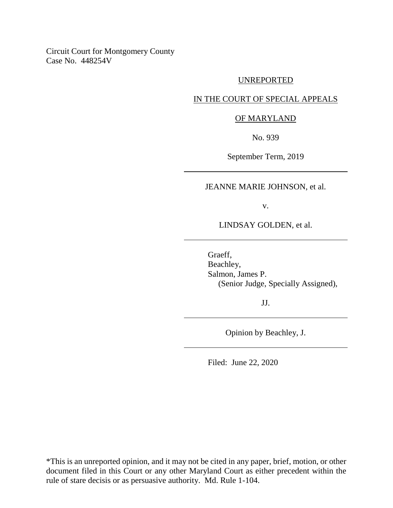Circuit Court for Montgomery County Case No. 448254V

#### UNREPORTED

# IN THE COURT OF SPECIAL APPEALS

## OF MARYLAND

No. 939

September Term, 2019

JEANNE MARIE JOHNSON, et al.

v.

LINDSAY GOLDEN, et al.

Graeff, Beachley, Salmon, James P. (Senior Judge, Specially Assigned),

JJ.

Opinion by Beachley, J.

Filed: June 22, 2020

\*This is an unreported opinion, and it may not be cited in any paper, brief, motion, or other document filed in this Court or any other Maryland Court as either precedent within the rule of stare decisis or as persuasive authority. Md. Rule 1-104.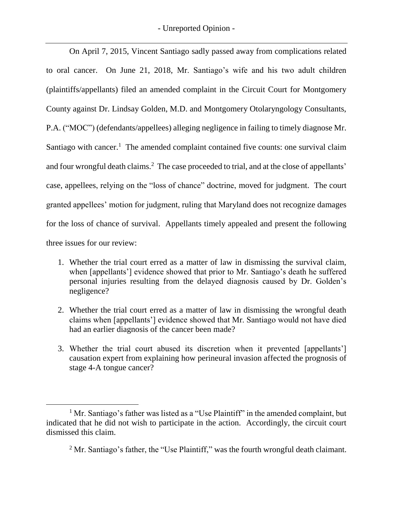On April 7, 2015, Vincent Santiago sadly passed away from complications related to oral cancer. On June 21, 2018, Mr. Santiago's wife and his two adult children (plaintiffs/appellants) filed an amended complaint in the Circuit Court for Montgomery County against Dr. Lindsay Golden, M.D. and Montgomery Otolaryngology Consultants, P.A. ("MOC") (defendants/appellees) alleging negligence in failing to timely diagnose Mr. Santiago with cancer.<sup>1</sup> The amended complaint contained five counts: one survival claim and four wrongful death claims.<sup>2</sup> The case proceeded to trial, and at the close of appellants' case, appellees, relying on the "loss of chance" doctrine, moved for judgment. The court granted appellees' motion for judgment, ruling that Maryland does not recognize damages for the loss of chance of survival. Appellants timely appealed and present the following three issues for our review:

- 1. Whether the trial court erred as a matter of law in dismissing the survival claim, when [appellants'] evidence showed that prior to Mr. Santiago's death he suffered personal injuries resulting from the delayed diagnosis caused by Dr. Golden's negligence?
- 2. Whether the trial court erred as a matter of law in dismissing the wrongful death claims when [appellants'] evidence showed that Mr. Santiago would not have died had an earlier diagnosis of the cancer been made?
- 3. Whether the trial court abused its discretion when it prevented [appellants'] causation expert from explaining how perineural invasion affected the prognosis of stage 4-A tongue cancer?

<sup>&</sup>lt;sup>1</sup> Mr. Santiago's father was listed as a "Use Plaintiff" in the amended complaint, but indicated that he did not wish to participate in the action. Accordingly, the circuit court dismissed this claim.

 $2$  Mr. Santiago's father, the "Use Plaintiff," was the fourth wrongful death claimant.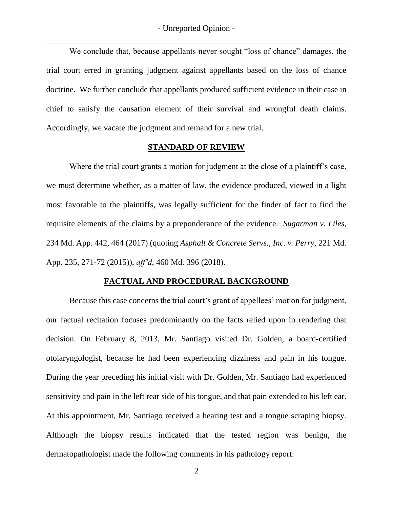We conclude that, because appellants never sought "loss of chance" damages, the trial court erred in granting judgment against appellants based on the loss of chance doctrine. We further conclude that appellants produced sufficient evidence in their case in chief to satisfy the causation element of their survival and wrongful death claims. Accordingly, we vacate the judgment and remand for a new trial.

## **STANDARD OF REVIEW**

Where the trial court grants a motion for judgment at the close of a plaintiff's case, we must determine whether, as a matter of law, the evidence produced, viewed in a light most favorable to the plaintiffs, was legally sufficient for the finder of fact to find the requisite elements of the claims by a preponderance of the evidence. *Sugarman v. Liles*, 234 Md. App. 442, 464 (2017) (quoting *Asphalt & Concrete Servs., Inc. v. Perry*, 221 Md. App. 235, 271-72 (2015)), *aff'd*, 460 Md. 396 (2018).

### **FACTUAL AND PROCEDURAL BACKGROUND**

Because this case concerns the trial court's grant of appellees' motion for judgment, our factual recitation focuses predominantly on the facts relied upon in rendering that decision. On February 8, 2013, Mr. Santiago visited Dr. Golden, a board-certified otolaryngologist, because he had been experiencing dizziness and pain in his tongue. During the year preceding his initial visit with Dr. Golden, Mr. Santiago had experienced sensitivity and pain in the left rear side of his tongue, and that pain extended to his left ear. At this appointment, Mr. Santiago received a hearing test and a tongue scraping biopsy. Although the biopsy results indicated that the tested region was benign, the dermatopathologist made the following comments in his pathology report: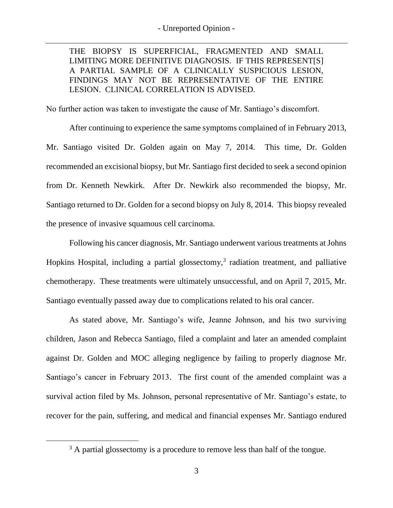THE BIOPSY IS SUPERFICIAL, FRAGMENTED AND SMALL LIMITING MORE DEFINITIVE DIAGNOSIS. IF THIS REPRESENT[S] A PARTIAL SAMPLE OF A CLINICALLY SUSPICIOUS LESION, FINDINGS MAY NOT BE REPRESENTATIVE OF THE ENTIRE LESION. CLINICAL CORRELATION IS ADVISED.

No further action was taken to investigate the cause of Mr. Santiago's discomfort.

After continuing to experience the same symptoms complained of in February 2013, Mr. Santiago visited Dr. Golden again on May 7, 2014. This time, Dr. Golden recommended an excisional biopsy, but Mr. Santiago first decided to seek a second opinion from Dr. Kenneth Newkirk. After Dr. Newkirk also recommended the biopsy, Mr. Santiago returned to Dr. Golden for a second biopsy on July 8, 2014. This biopsy revealed the presence of invasive squamous cell carcinoma.

Following his cancer diagnosis, Mr. Santiago underwent various treatments at Johns Hopkins Hospital, including a partial glossectomy,<sup>3</sup> radiation treatment, and palliative chemotherapy. These treatments were ultimately unsuccessful, and on April 7, 2015, Mr. Santiago eventually passed away due to complications related to his oral cancer.

As stated above, Mr. Santiago's wife, Jeanne Johnson, and his two surviving children, Jason and Rebecca Santiago, filed a complaint and later an amended complaint against Dr. Golden and MOC alleging negligence by failing to properly diagnose Mr. Santiago's cancer in February 2013. The first count of the amended complaint was a survival action filed by Ms. Johnson, personal representative of Mr. Santiago's estate, to recover for the pain, suffering, and medical and financial expenses Mr. Santiago endured

 $\overline{a}$ 

 $3$  A partial glossectomy is a procedure to remove less than half of the tongue.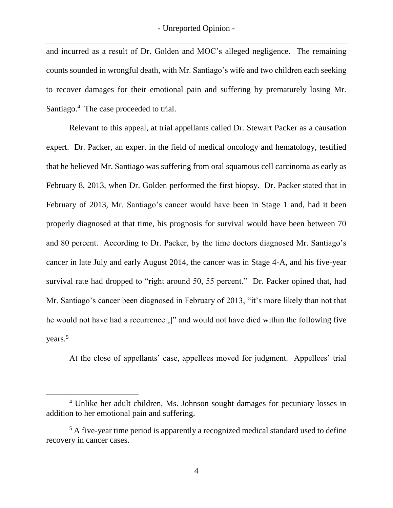and incurred as a result of Dr. Golden and MOC's alleged negligence. The remaining counts sounded in wrongful death, with Mr. Santiago's wife and two children each seeking to recover damages for their emotional pain and suffering by prematurely losing Mr. Santiago.<sup>4</sup> The case proceeded to trial.

Relevant to this appeal, at trial appellants called Dr. Stewart Packer as a causation expert. Dr. Packer, an expert in the field of medical oncology and hematology, testified that he believed Mr. Santiago was suffering from oral squamous cell carcinoma as early as February 8, 2013, when Dr. Golden performed the first biopsy. Dr. Packer stated that in February of 2013, Mr. Santiago's cancer would have been in Stage 1 and, had it been properly diagnosed at that time, his prognosis for survival would have been between 70 and 80 percent. According to Dr. Packer, by the time doctors diagnosed Mr. Santiago's cancer in late July and early August 2014, the cancer was in Stage 4-A, and his five-year survival rate had dropped to "right around 50, 55 percent." Dr. Packer opined that, had Mr. Santiago's cancer been diagnosed in February of 2013, "it's more likely than not that he would not have had a recurrence[,]" and would not have died within the following five years. 5

At the close of appellants' case, appellees moved for judgment. Appellees' trial

<sup>4</sup> Unlike her adult children, Ms. Johnson sought damages for pecuniary losses in addition to her emotional pain and suffering.

<sup>&</sup>lt;sup>5</sup> A five-year time period is apparently a recognized medical standard used to define recovery in cancer cases.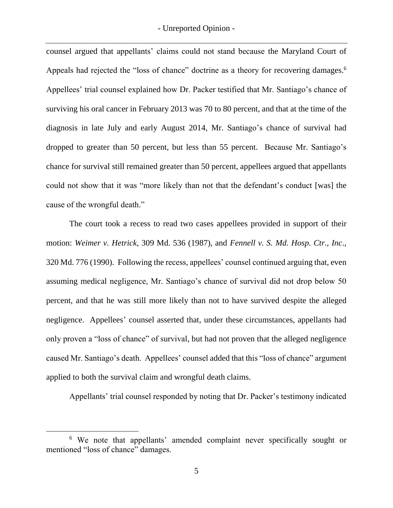counsel argued that appellants' claims could not stand because the Maryland Court of Appeals had rejected the "loss of chance" doctrine as a theory for recovering damages.<sup>6</sup> Appellees' trial counsel explained how Dr. Packer testified that Mr. Santiago's chance of surviving his oral cancer in February 2013 was 70 to 80 percent, and that at the time of the diagnosis in late July and early August 2014, Mr. Santiago's chance of survival had dropped to greater than 50 percent, but less than 55 percent. Because Mr. Santiago's chance for survival still remained greater than 50 percent, appellees argued that appellants could not show that it was "more likely than not that the defendant's conduct [was] the cause of the wrongful death."

The court took a recess to read two cases appellees provided in support of their motion: *Weimer v. Hetrick*, 309 Md. 536 (1987), and *Fennell v. S. Md. Hosp. Ctr., Inc*., 320 Md. 776 (1990). Following the recess, appellees' counsel continued arguing that, even assuming medical negligence, Mr. Santiago's chance of survival did not drop below 50 percent, and that he was still more likely than not to have survived despite the alleged negligence. Appellees' counsel asserted that, under these circumstances, appellants had only proven a "loss of chance" of survival, but had not proven that the alleged negligence caused Mr. Santiago's death. Appellees' counsel added that this "loss of chance" argument applied to both the survival claim and wrongful death claims.

Appellants' trial counsel responded by noting that Dr. Packer's testimony indicated

 $\overline{a}$ 

<sup>&</sup>lt;sup>6</sup> We note that appellants' amended complaint never specifically sought or mentioned "loss of chance" damages.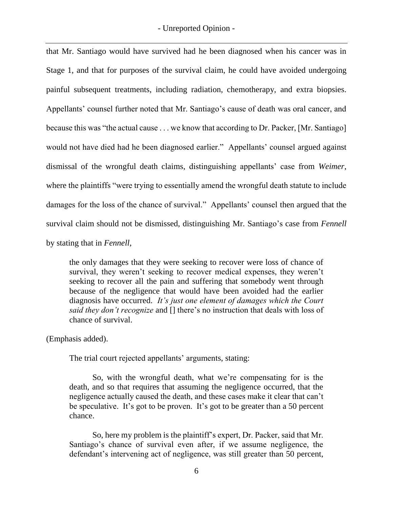that Mr. Santiago would have survived had he been diagnosed when his cancer was in Stage 1, and that for purposes of the survival claim, he could have avoided undergoing painful subsequent treatments, including radiation, chemotherapy, and extra biopsies. Appellants' counsel further noted that Mr. Santiago's cause of death was oral cancer, and because this was "the actual cause . . . we know that according to Dr. Packer, [Mr. Santiago] would not have died had he been diagnosed earlier." Appellants' counsel argued against dismissal of the wrongful death claims, distinguishing appellants' case from *Weimer*, where the plaintiffs "were trying to essentially amend the wrongful death statute to include damages for the loss of the chance of survival." Appellants' counsel then argued that the survival claim should not be dismissed, distinguishing Mr. Santiago's case from *Fennell* by stating that in *Fennell*,

the only damages that they were seeking to recover were loss of chance of survival, they weren't seeking to recover medical expenses, they weren't seeking to recover all the pain and suffering that somebody went through because of the negligence that would have been avoided had the earlier diagnosis have occurred. *It's just one element of damages which the Court said they don't recognize* and [] there's no instruction that deals with loss of chance of survival.

(Emphasis added).

The trial court rejected appellants' arguments, stating:

So, with the wrongful death, what we're compensating for is the death, and so that requires that assuming the negligence occurred, that the negligence actually caused the death, and these cases make it clear that can't be speculative. It's got to be proven. It's got to be greater than a 50 percent chance.

So, here my problem is the plaintiff's expert, Dr. Packer, said that Mr. Santiago's chance of survival even after, if we assume negligence, the defendant's intervening act of negligence, was still greater than 50 percent,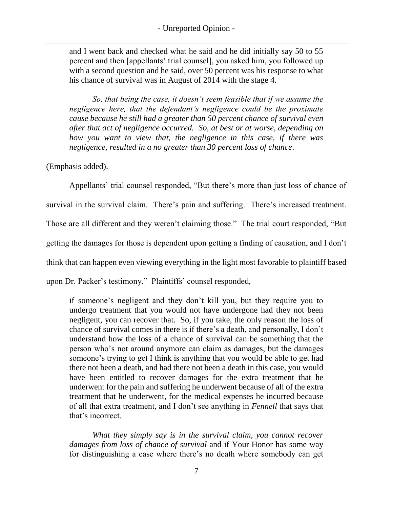and I went back and checked what he said and he did initially say 50 to 55 percent and then [appellants' trial counsel], you asked him, you followed up with a second question and he said, over 50 percent was his response to what his chance of survival was in August of 2014 with the stage 4.

*So, that being the case, it doesn't seem feasible that if we assume the negligence here, that the defendant's negligence could be the proximate cause because he still had a greater than 50 percent chance of survival even after that act of negligence occurred. So, at best or at worse, depending on how you want to view that, the negligence in this case, if there was negligence, resulted in a no greater than 30 percent loss of chance*.

(Emphasis added).

Appellants' trial counsel responded, "But there's more than just loss of chance of survival in the survival claim. There's pain and suffering. There's increased treatment. Those are all different and they weren't claiming those." The trial court responded, "But getting the damages for those is dependent upon getting a finding of causation, and I don't think that can happen even viewing everything in the light most favorable to plaintiff based upon Dr. Packer's testimony." Plaintiffs' counsel responded,

if someone's negligent and they don't kill you, but they require you to undergo treatment that you would not have undergone had they not been negligent, you can recover that. So, if you take, the only reason the loss of chance of survival comes in there is if there's a death, and personally, I don't understand how the loss of a chance of survival can be something that the person who's not around anymore can claim as damages, but the damages someone's trying to get I think is anything that you would be able to get had there not been a death, and had there not been a death in this case, you would have been entitled to recover damages for the extra treatment that he underwent for the pain and suffering he underwent because of all of the extra treatment that he underwent, for the medical expenses he incurred because of all that extra treatment, and I don't see anything in *Fennell* that says that that's incorrect.

*What they simply say is in the survival claim, you cannot recover damages from loss of chance of survival* and if Your Honor has some way for distinguishing a case where there's no death where somebody can get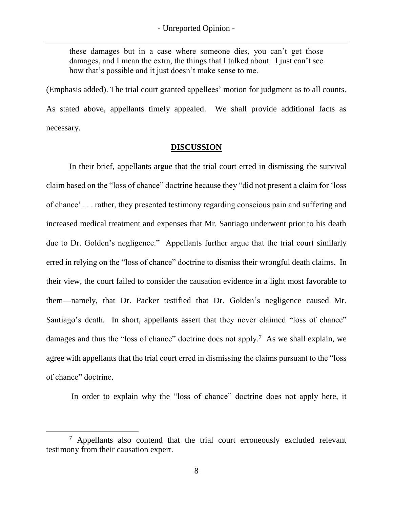these damages but in a case where someone dies, you can't get those damages, and I mean the extra, the things that I talked about. I just can't see how that's possible and it just doesn't make sense to me.

(Emphasis added). The trial court granted appellees' motion for judgment as to all counts. As stated above, appellants timely appealed. We shall provide additional facts as necessary.

## **DISCUSSION**

In their brief, appellants argue that the trial court erred in dismissing the survival claim based on the "loss of chance" doctrine because they "did not present a claim for 'loss of chance' . . . rather, they presented testimony regarding conscious pain and suffering and increased medical treatment and expenses that Mr. Santiago underwent prior to his death due to Dr. Golden's negligence." Appellants further argue that the trial court similarly erred in relying on the "loss of chance" doctrine to dismiss their wrongful death claims. In their view, the court failed to consider the causation evidence in a light most favorable to them—namely, that Dr. Packer testified that Dr. Golden's negligence caused Mr. Santiago's death. In short, appellants assert that they never claimed "loss of chance" damages and thus the "loss of chance" doctrine does not apply.<sup>7</sup> As we shall explain, we agree with appellants that the trial court erred in dismissing the claims pursuant to the "loss of chance" doctrine.

In order to explain why the "loss of chance" doctrine does not apply here, it

 $\overline{a}$ 

 $\frac{7}{7}$  Appellants also contend that the trial court erroneously excluded relevant testimony from their causation expert.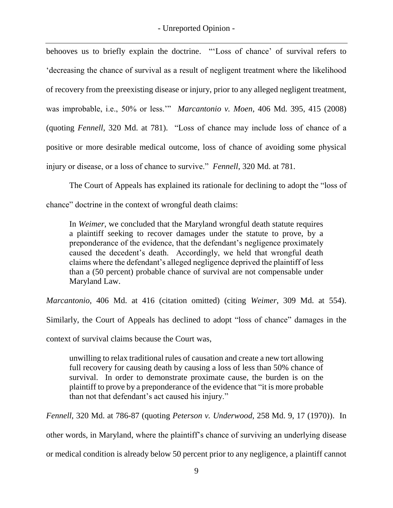behooves us to briefly explain the doctrine. "'Loss of chance' of survival refers to 'decreasing the chance of survival as a result of negligent treatment where the likelihood of recovery from the preexisting disease or injury, prior to any alleged negligent treatment, was improbable, i.e., 50% or less.'" *Marcantonio v. Moen*, 406 Md. 395, 415 (2008) (quoting *Fennell*, 320 Md. at 781). "Loss of chance may include loss of chance of a positive or more desirable medical outcome, loss of chance of avoiding some physical injury or disease, or a loss of chance to survive." *Fennell*, 320 Md. at 781.

The Court of Appeals has explained its rationale for declining to adopt the "loss of chance" doctrine in the context of wrongful death claims:

In *Weimer*, we concluded that the Maryland wrongful death statute requires a plaintiff seeking to recover damages under the statute to prove, by a preponderance of the evidence, that the defendant's negligence proximately caused the decedent's death. Accordingly, we held that wrongful death claims where the defendant's alleged negligence deprived the plaintiff of less than a (50 percent) probable chance of survival are not compensable under Maryland Law.

*Marcantonio*, 406 Md. at 416 (citation omitted) (citing *Weimer*, 309 Md. at 554).

Similarly, the Court of Appeals has declined to adopt "loss of chance" damages in the

context of survival claims because the Court was,

unwilling to relax traditional rules of causation and create a new tort allowing full recovery for causing death by causing a loss of less than 50% chance of survival. In order to demonstrate proximate cause, the burden is on the plaintiff to prove by a preponderance of the evidence that "it is more probable than not that defendant's act caused his injury."

*Fennell*, 320 Md. at 786-87 (quoting *Peterson v. Underwood*, 258 Md. 9, 17 (1970)). In

other words, in Maryland, where the plaintiff's chance of surviving an underlying disease

or medical condition is already below 50 percent prior to any negligence, a plaintiff cannot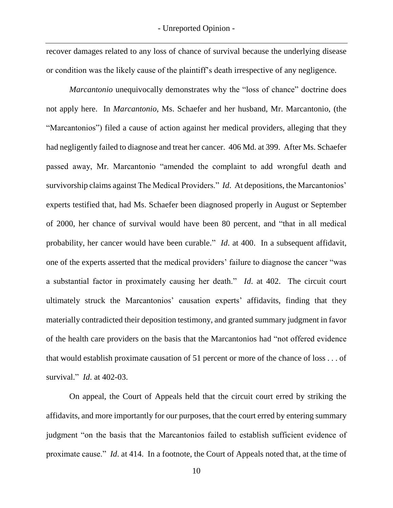recover damages related to any loss of chance of survival because the underlying disease or condition was the likely cause of the plaintiff's death irrespective of any negligence.

*Marcantonio* unequivocally demonstrates why the "loss of chance" doctrine does not apply here. In *Marcantonio*, Ms. Schaefer and her husband, Mr. Marcantonio, (the "Marcantonios") filed a cause of action against her medical providers, alleging that they had negligently failed to diagnose and treat her cancer. 406 Md. at 399. After Ms. Schaefer passed away, Mr. Marcantonio "amended the complaint to add wrongful death and survivorship claims against The Medical Providers." *Id*. At depositions, the Marcantonios' experts testified that, had Ms. Schaefer been diagnosed properly in August or September of 2000, her chance of survival would have been 80 percent, and "that in all medical probability, her cancer would have been curable." *Id*. at 400. In a subsequent affidavit, one of the experts asserted that the medical providers' failure to diagnose the cancer "was a substantial factor in proximately causing her death." *Id*. at 402. The circuit court ultimately struck the Marcantonios' causation experts' affidavits, finding that they materially contradicted their deposition testimony, and granted summary judgment in favor of the health care providers on the basis that the Marcantonios had "not offered evidence that would establish proximate causation of 51 percent or more of the chance of loss . . . of survival." *Id*. at 402-03.

On appeal, the Court of Appeals held that the circuit court erred by striking the affidavits, and more importantly for our purposes, that the court erred by entering summary judgment "on the basis that the Marcantonios failed to establish sufficient evidence of proximate cause." *Id*. at 414. In a footnote, the Court of Appeals noted that, at the time of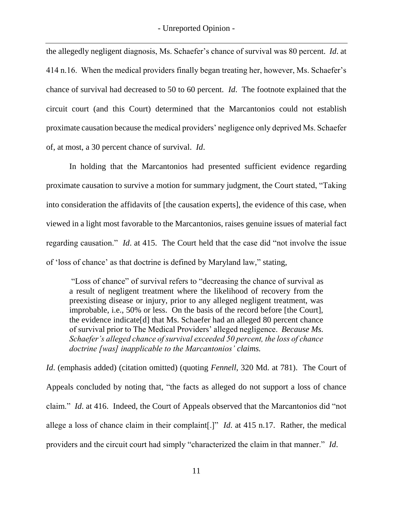the allegedly negligent diagnosis, Ms. Schaefer's chance of survival was 80 percent. *Id*. at 414 n.16. When the medical providers finally began treating her, however, Ms. Schaefer's chance of survival had decreased to 50 to 60 percent. *Id*. The footnote explained that the circuit court (and this Court) determined that the Marcantonios could not establish proximate causation because the medical providers' negligence only deprived Ms. Schaefer of, at most, a 30 percent chance of survival. *Id*.

In holding that the Marcantonios had presented sufficient evidence regarding proximate causation to survive a motion for summary judgment, the Court stated, "Taking into consideration the affidavits of [the causation experts], the evidence of this case, when viewed in a light most favorable to the Marcantonios, raises genuine issues of material fact regarding causation." *Id*. at 415. The Court held that the case did "not involve the issue of 'loss of chance' as that doctrine is defined by Maryland law," stating,

"Loss of chance" of survival refers to "decreasing the chance of survival as a result of negligent treatment where the likelihood of recovery from the preexisting disease or injury, prior to any alleged negligent treatment, was improbable, i.e., 50% or less. On the basis of the record before [the Court], the evidence indicate[d] that Ms. Schaefer had an alleged 80 percent chance of survival prior to The Medical Providers' alleged negligence. *Because Ms. Schaefer's alleged chance of survival exceeded 50 percent, the loss of chance doctrine [was] inapplicable to the Marcantonios' claims.* 

*Id.* (emphasis added) (citation omitted) (quoting *Fennell*, 320 Md. at 781). The Court of Appeals concluded by noting that*,* "the facts as alleged do not support a loss of chance claim." *Id*. at 416. Indeed, the Court of Appeals observed that the Marcantonios did "not allege a loss of chance claim in their complaint[.]" *Id*. at 415 n.17. Rather, the medical providers and the circuit court had simply "characterized the claim in that manner." *Id*.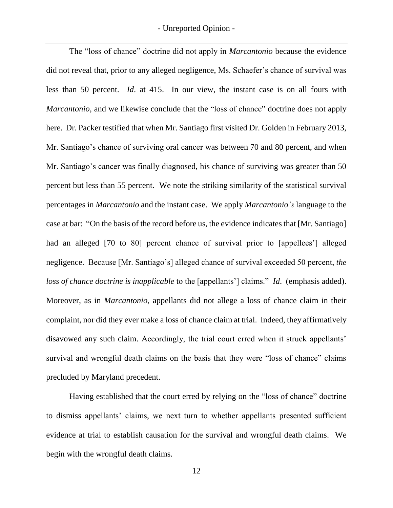The "loss of chance" doctrine did not apply in *Marcantonio* because the evidence did not reveal that, prior to any alleged negligence, Ms. Schaefer's chance of survival was less than 50 percent. *Id*. at 415. In our view, the instant case is on all fours with *Marcantonio*, and we likewise conclude that the "loss of chance" doctrine does not apply here. Dr. Packer testified that when Mr. Santiago first visited Dr. Golden in February 2013, Mr. Santiago's chance of surviving oral cancer was between 70 and 80 percent, and when Mr. Santiago's cancer was finally diagnosed, his chance of surviving was greater than 50 percent but less than 55 percent. We note the striking similarity of the statistical survival percentages in *Marcantonio* and the instant case. We apply *Marcantonio's* language to the case at bar: "On the basis of the record before us, the evidence indicates that [Mr. Santiago] had an alleged [70 to 80] percent chance of survival prior to [appellees'] alleged negligence. Because [Mr. Santiago's] alleged chance of survival exceeded 50 percent, *the loss of chance doctrine is inapplicable* to the [appellants'] claims." *Id*. (emphasis added). Moreover, as in *Marcantonio*, appellants did not allege a loss of chance claim in their complaint, nor did they ever make a loss of chance claim at trial. Indeed, they affirmatively disavowed any such claim. Accordingly, the trial court erred when it struck appellants' survival and wrongful death claims on the basis that they were "loss of chance" claims precluded by Maryland precedent.

Having established that the court erred by relying on the "loss of chance" doctrine to dismiss appellants' claims, we next turn to whether appellants presented sufficient evidence at trial to establish causation for the survival and wrongful death claims. We begin with the wrongful death claims.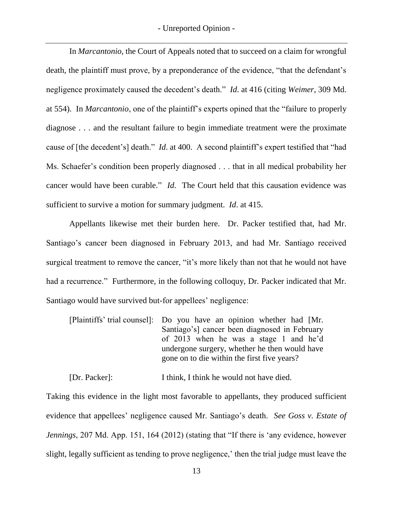In *Marcantonio*, the Court of Appeals noted that to succeed on a claim for wrongful death, the plaintiff must prove, by a preponderance of the evidence, "that the defendant's negligence proximately caused the decedent's death." *Id*. at 416 (citing *Weimer*, 309 Md. at 554). In *Marcantonio*, one of the plaintiff's experts opined that the "failure to properly diagnose . . . and the resultant failure to begin immediate treatment were the proximate cause of [the decedent's] death." *Id*. at 400. A second plaintiff's expert testified that "had Ms. Schaefer's condition been properly diagnosed . . . that in all medical probability her cancer would have been curable." *Id*. The Court held that this causation evidence was sufficient to survive a motion for summary judgment. *Id*. at 415.

Appellants likewise met their burden here. Dr. Packer testified that, had Mr. Santiago's cancer been diagnosed in February 2013, and had Mr. Santiago received surgical treatment to remove the cancer, "it's more likely than not that he would not have had a recurrence." Furthermore, in the following colloquy, Dr. Packer indicated that Mr. Santiago would have survived but-for appellees' negligence:

[Plaintiffs' trial counsel]: Do you have an opinion whether had [Mr. Santiago's] cancer been diagnosed in February of 2013 when he was a stage 1 and he'd undergone surgery, whether he then would have gone on to die within the first five years?

[Dr. Packer]: I think, I think he would not have died.

Taking this evidence in the light most favorable to appellants, they produced sufficient evidence that appellees' negligence caused Mr. Santiago's death. *See Goss v. Estate of Jennings*, 207 Md. App. 151, 164 (2012) (stating that "If there is 'any evidence, however slight, legally sufficient as tending to prove negligence,' then the trial judge must leave the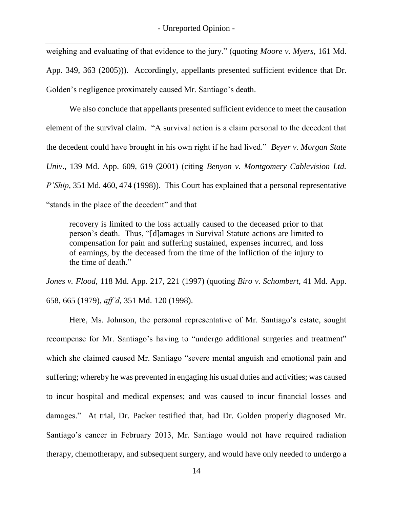weighing and evaluating of that evidence to the jury." (quoting *Moore v. Myers*, 161 Md. App. 349, 363 (2005))). Accordingly, appellants presented sufficient evidence that Dr. Golden's negligence proximately caused Mr. Santiago's death.

We also conclude that appellants presented sufficient evidence to meet the causation element of the survival claim. "A survival action is a claim personal to the decedent that the decedent could have brought in his own right if he had lived." *Beyer v. Morgan State Univ*., 139 Md. App. 609, 619 (2001) (citing *Benyon v. Montgomery Cablevision Ltd. P'Ship*, 351 Md. 460, 474 (1998)). This Court has explained that a personal representative "stands in the place of the decedent" and that

recovery is limited to the loss actually caused to the deceased prior to that person's death. Thus, "[d]amages in Survival Statute actions are limited to compensation for pain and suffering sustained, expenses incurred, and loss of earnings, by the deceased from the time of the infliction of the injury to the time of death."

*Jones v. Flood*, 118 Md. App. 217, 221 (1997) (quoting *Biro v. Schombert*, 41 Md. App. 658, 665 (1979), *aff'd*, 351 Md. 120 (1998).

Here, Ms. Johnson, the personal representative of Mr. Santiago's estate, sought recompense for Mr. Santiago's having to "undergo additional surgeries and treatment" which she claimed caused Mr. Santiago "severe mental anguish and emotional pain and suffering; whereby he was prevented in engaging his usual duties and activities; was caused to incur hospital and medical expenses; and was caused to incur financial losses and damages." At trial, Dr. Packer testified that, had Dr. Golden properly diagnosed Mr. Santiago's cancer in February 2013, Mr. Santiago would not have required radiation therapy, chemotherapy, and subsequent surgery, and would have only needed to undergo a